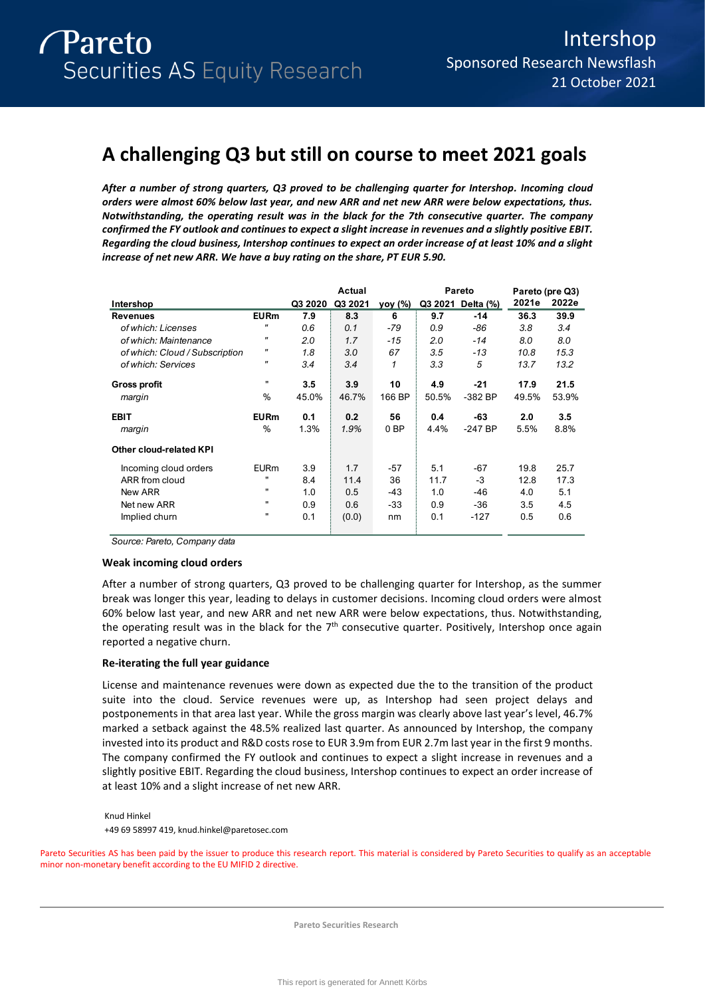# **A challenging Q3 but still on course to meet 2021 goals**

*After a number of strong quarters, Q3 proved to be challenging quarter for Intershop. Incoming cloud orders were almost 60% below last year, and new ARR and net new ARR were below expectations, thus. Notwithstanding, the operating result was in the black for the 7th consecutive quarter. The company confirmed the FY outlook and continues to expect a slight increase in revenues and a slightly positive EBIT. Regarding the cloud business, Intershop continues to expect an order increase of at least 10% and a slight increase of net new ARR. We have a buy rating on the share, PT EUR 5.90.* 

|                                |                   |         | Actual  |                 |       | Pareto            |       | Pareto (pre Q3) |
|--------------------------------|-------------------|---------|---------|-----------------|-------|-------------------|-------|-----------------|
| Intershop                      |                   | Q3 2020 | Q3 2021 | yoy (%)         |       | Q3 2021 Delta (%) | 2021e | 2022e           |
| <b>Revenues</b>                | <b>EURm</b>       | 7.9     | 8.3     | 6               | 9.7   | $-14$             | 36.3  | 39.9            |
| of which: Licenses             | "                 | 0.6     | 0.1     | -79             | 0.9   | -86               | 3.8   | 3.4             |
| of which: Maintenance          | "                 | 2.0     | 1.7     | $-15$           | 2.0   | $-14$             | 8.0   | 8.0             |
| of which: Cloud / Subscription | "                 | 1.8     | 3.0     | 67              | 3.5   | $-13$             | 10.8  | 15.3            |
| of which: Services             | $^{\prime\prime}$ | 3.4     | 3.4     | 1               | 3.3   | 5                 | 13.7  | 13.2            |
| <b>Gross profit</b>            | $\mathbf{H}$      | 3.5     | 3.9     | 10              | 4.9   | $-21$             | 17.9  | 21.5            |
| margin                         | %                 | 45.0%   | 46.7%   | 166 BP          | 50.5% | $-382$ BP         | 49.5% | 53.9%           |
| <b>EBIT</b>                    | <b>EURm</b>       | 0.1     | 0.2     | 56              | 0.4   | -63               | 2.0   | 3.5             |
| margin                         | %                 | 1.3%    | 1.9%    | 0 <sub>BP</sub> | 4.4%  | $-247$ BP         | 5.5%  | 8.8%            |
| <b>Other cloud-related KPI</b> |                   |         |         |                 |       |                   |       |                 |
| Incoming cloud orders          | <b>EURm</b>       | 3.9     | 1.7     | -57             | 5.1   | -67               | 19.8  | 25.7            |
| ARR from cloud                 |                   | 8.4     | 11.4    | 36              | 11.7  | -3                | 12.8  | 17.3            |
| New ARR                        |                   | 1.0     | 0.5     | -43             | 1.0   | $-46$             | 4.0   | 5.1             |
| Net new ARR                    | $\mathbf{H}$      | 0.9     | 0.6     | -33             | 0.9   | $-36$             | 3.5   | 4.5             |
| Implied churn                  |                   | 0.1     | (0.0)   | nm              | 0.1   | $-127$            | 0.5   | 0.6             |

*Source: Pareto, Company data*

## **Weak incoming cloud orders**

After a number of strong quarters, Q3 proved to be challenging quarter for Intershop, as the summer break was longer this year, leading to delays in customer decisions. Incoming cloud orders were almost 60% below last year, and new ARR and net new ARR were below expectations, thus. Notwithstanding, the operating result was in the black for the  $7<sup>th</sup>$  consecutive quarter. Positively, Intershop once again reported a negative churn.

## **Re-iterating the full year guidance**

License and maintenance revenues were down as expected due the to the transition of the product suite into the cloud. Service revenues were up, as Intershop had seen project delays and postponements in that area last year. While the gross margin was clearly above last year's level, 46.7% marked a setback against the 48.5% realized last quarter. As announced by Intershop, the company invested into its product and R&D costs rose to EUR 3.9m from EUR 2.7m last year in the first 9 months. The company confirmed the FY outlook and continues to expect a slight increase in revenues and a slightly positive EBIT. Regarding the cloud business, Intershop continues to expect an order increase of at least 10% and a slight increase of net new ARR.

Knud Hinkel

+49 69 58997 419, knud.hinkel@paretosec.com

Pareto Securities AS has been paid by the issuer to produce this research report. This material is considered by Pareto Securities to qualify as an acceptable minor non-monetary benefit according to the EU MIFID 2 directive.

**Pareto Securities Research**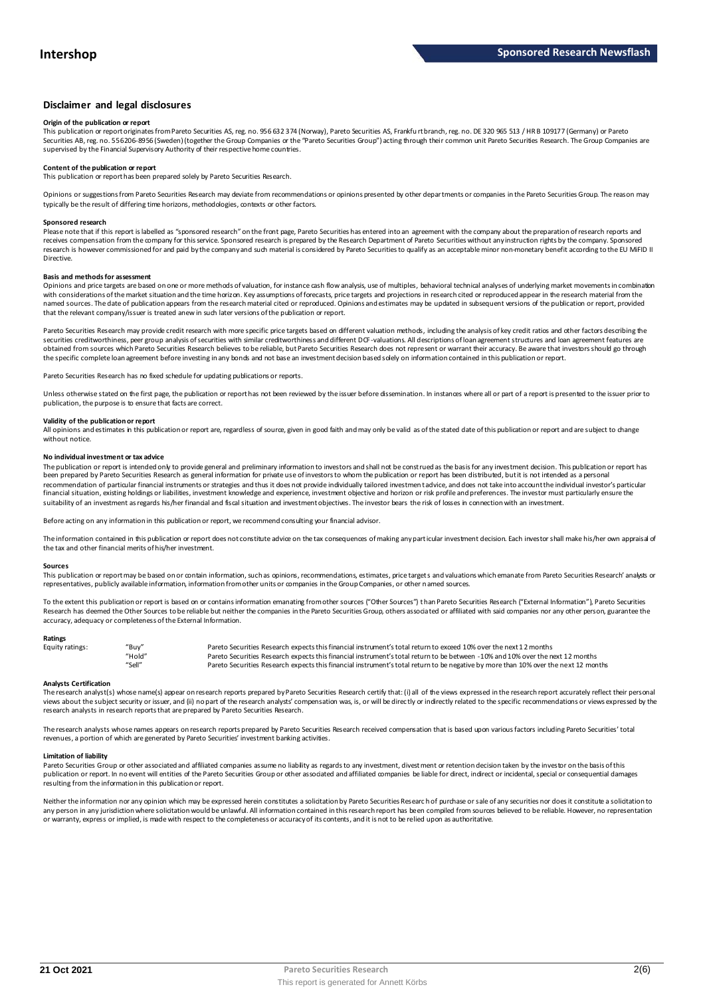## **Disclaimer and legal disclosures**

#### **Origin of the publication or report**

This publication or report originates from Pareto Securities AS, reg. no. 956 632 374 (Norway), Pareto Securities AS, Frankfu rt branch, reg. no. DE 320 965 513 / HR B 109177 (Germany) or Pareto Securities AB, reg. no. 556206-8956 (Sweden) (together the Group Companies or the "Pareto Securities Group") acting through their common unit Pareto Securities Research. The Group Companies are<br>supervised by the Financial

## **Content of the publication or report**

This publication or report has been prepared solely by Pareto Securities Research.

Opinions or suggestions from Pareto Securities Research may deviate from recommendations or opinions presented by other departments or companies in the Pareto Securities Group. The reason may typically be the result of differing time horizons, methodologies, contexts or other factors.

#### **Sponsored research**

Please note that if this report is labelled as "sponsored research" on the front page, Pareto Securities has entered into an agreement with the company about the preparation of research reports and<br>receives compensation fr research is however commissioned for and paid by the company and such material is considered by Pareto Securities to qualify as an acceptable minor non-monetary benefit according to the EU MiFID II Directive.

#### **Basis and methods for assessment**

Opinions and price targets are based on one or more methods of valuation, for instance cash flow analysis, use of multiples, behavioral technical analyses of underlying market movements in combination with considerations of the market situation and the time horizon. Key assumptions of forecasts, price targets and projections in research cited or reproduced appear in the research material from the named sources. The date of publication appears from the research material cited or reproduced. Opinions and estimates may be updated in subsequent versions of the publication or report, provided that the relevant company/issuer is treated anew in such later versions of the publication or report.

Pareto Securities Research may provide credit research with more specific price targets based on different valuation methods, including the analysis of key credit ratios and other factors describing the securities creditworthiness, peer group analysis of securities with similar creditworthiness and different DCF-valuations. All descriptions of loan agreement structures and loan agreement features are obtained from sources which Pareto Securities Research believes to be reliable, but Pareto Securities Research does not represent or warrant their accuracy. Be aware that investors should go through the specific complete loan agreement before investing in any bonds and not base an investment decision based solely on information contained in this publication or report.

Pareto Securities Research has no fixed schedule for updating publications or reports.

Unless otherwise stated on the first page, the publication or report has not been reviewed by the issuer before dissemination. In instances where all or part of a report is presented to the issuer prior to publication, the purpose is to ensure that facts are correct.

### **Validity of the publication or report**

All opinions and estimates in this publication or report are, regardless of source, given in good faith and may only be valid as of the stated date of this publication or report and are subject to change without notice.

#### **No individual investment or tax advice**

The publication or report is intended only to provide general and preliminary information to investors and shall not be construed as the basis for any investment decision. This publication or report has<br>been prepared by Pa recommendation of particular financial instruments or strategies and thus it does not provide individually tailored investmen t advice, and does not take into account the individual investor's particular financial situation, existing holdings or liabilities, investment knowledge and experience, investment objective and horizon or risk profile and preferences. The investor must particularly ensure the suitability of an investment as regards his/her financial and fiscal situation and investment objectives. The investor bears the risk of losses in connection with an investment.

Before acting on any information in this publication or report, we recommend consulting your financial advisor.

The information contained in this publication or report does not constitute advice on the tax consequences of making any particular investment decision. Each investor shall make his/her own appraisal of the tax and other financial merits of his/her investment.

#### **Sources**

This publication or report may be based on or contain information, such as opinions, recommendations, estimates, price targets and valuations which emanate from Pareto Securities Research' analysts or representatives, publicly available information, information from other units or companies in the Group Companies, or other named sources.

To the extent this publication or report is based on or contains information emanating from other sources ("Other Sources") than Pareto Securities Research ("External Information"), Pareto Securities Research has deemed the Other Sources to be reliable but neither the companies in the Pareto Securities Group, others associated or affiliated with said companies nor any other person, guarantee the accuracy, adequacy or completeness of the External Information.

#### **Ratings**

| Equity ratings: | "Buy"  | Pareto Securities Research expects this financial instrument's total return to exceed 10% over the next 12 months                   |
|-----------------|--------|-------------------------------------------------------------------------------------------------------------------------------------|
|                 | "Hold" | Pareto Securities Research expects this financial instrument's total return to be between -10% and 10% over the next 12 months      |
|                 | "Sell" | Pareto Securities Research expects this financial instrument's total return to be negative by more than 10% over the next 12 months |

**Analysts Certification**<br>The research analystis) whose name(s) appear on research reports prepared by Pareto Securities Research certify that: (i) all of the views expressed in the research report accurately reflect their "Hold"<br>"Sell" Pareto Securities Research expects this financial instrument's total return to be between -10% and 10% over the next 12 months<br>"Sell" Pareto Securities Research expects this financial instrument's total retur research analysts in research reports that are prepared by Pareto Securities Research.

The research analysts whose names appears on research reports prepared by Pareto Securities Research received compensation that is based upon various factors including Pareto Securities' total revenues, a portion of which are generated by Pareto Securities' investment banking activities.

#### **Limitation of liability**

Pareto Securities Group or other associated and affiliated companies assume no liability as regards to any investment, divestment or retention decision taken by the investor on the basis of this publication or report. In no event will entities of the Pareto Securities Group or other associated and affiliated companies be liable for direct, indirect or incidental, special or consequential damages resulting from the information in this publication or report.

Neither the information nor any opinion which may be expressed herein constitutes a solicitation by Pareto Securities Research of purchase or sale of any securities nor does it constitute a solicitation to any person in any jurisdiction where solicitation would be unlawful. All information contained in this research report has been compiled from sources believed to be reliable. However, no representation or warranty, express or implied, is made with respect to the completeness or accuracy of its contents, and it is not to be relied upon as authoritative.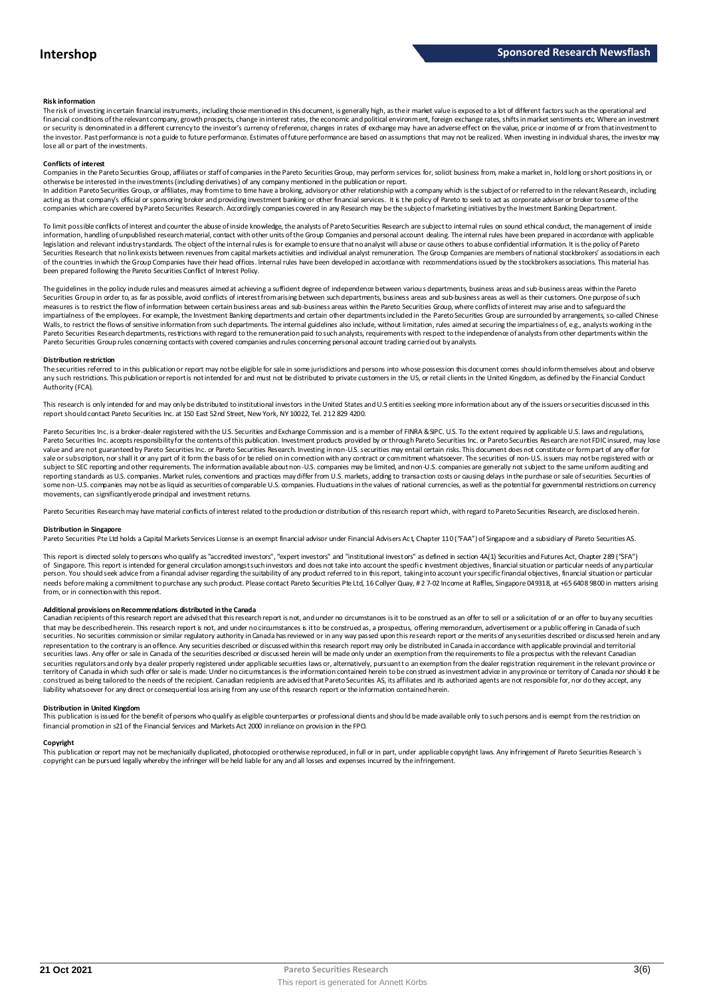#### **Risk information**

The risk of investing in certain financial instruments, including those mentioned in this document, is generally high, as their market value is exposed to a lot of different factors such as the operational and financial conditions of the relevant company, growth prospects, change in interest rates, the economic and political environment, foreign exchange rates, shifts in market sentiments etc. Where an investment or security is denominated in a different currency to the investor's currency of reference, changes in rates of exchange may have an adverse effect on the value, price or income of or from that investment to the investor. Past performance is not a guide to future performance. Estimates of future performance are based on assumptions that may not be realized. When investing in individual shares, the investor may lose all or part of the investments.

#### **Conflicts of interest**

Companies in the Pareto Securities Group, affiliates or staff of companies in the Pareto Securities Group, may perform services for, solicit business from, make a market in, hold long or short positions in, or otherwise be interested in the investments (including derivatives) of any company mentioned in the publication or report.<br>In addition Pareto Securities Group, or affiliates, may from time to time have a broking, advisory o

acting as that company's official or sponsoring broker and providing investment banking or other financial services. It is the policy of Pareto to seek to act as corporate adviser or broker to some of the companies which are covered by Pareto Securities Research. Accordingly companies covered in any Research may be the subject o f marketing initiatives by the Investment Banking Department.

To limit possible conflicts of interest and counter the abuse of inside knowledge, the analysts of Pareto Securities Research are subject to internal rules on sound ethical conduct, the management of inside information, handling of unpublished research material, contact with other units of the Group Companies and personal account dealing. The internal rules have been prepared in accordance with applicable legislation and relevant industry standards. The object of the internal rules is for example to ensure that no analyst will abuse or cause others to abuse confidential information. It is the policy of Pareto Securities Research that no link exists between revenues from capital markets activities and individual analyst remuneration. The Group Companies are members of national stockbrokers' associations in each of the countries in which the Group Companies have their head offices. Internal rules have been developed in accordance with recommendations issued by the stockbrokers associations. This material has been prepared following the Pareto Securities Conflict of Interest Policy.

The guidelines in the policy indude rules and measures aimed at achieving a sufficient degree of independence between various departments, business areas and sub-business areas within the Pareto Securities Group in order to, as far as possible, avoid conflicts of interest from arising between such departments, business areas and sub-business areas as well as their customers. One purpose of such measures is to restrict the flow of information between certain business areas and sub-business areas within the Pareto Securities Group, where conflicts of interest may arise and to safeguard the inpartialness of the empl The guidelines in the policy indude rules and measures aimed at achieving a sufficient degree of independence between various departments, business areas and sub-business areas within the Pareto<br>Securities Group in order t Pareto Securities Group rules concerning contacts with covered companies and rules concerning personal account trading carried out by analysts.

#### **Distribution restriction**

The securities referred to in this publication or report may not be eligible for sale in some jurisdictions and persons into whose possession this document comes should inform themselves about and observe Pareto Securities Group rules concerning contacts with covered companies and rules concerning personal account trading carried out by analysts.<br>Distribution restriction<br>The securities referred to in this publication or rep Authority (FCA).

This research is only intended for and may only be distributed to institutional investors in the United States and U.S entities seeking more information about any of the issuers or securities discussed in this report should contact Pareto Securities Inc. at 150 East 52nd Street, New York, NY 10022, Tel. 212 829 4200.

Pareto Securities Inc. is a broker-dealer registered with the U.S. Securities and Exchange Commission and is a member of FINRA & SIPC. U.S. To the extent required by applicable U.S. laws and regulations, Pareto Securities Inc. accepts responsibility for the contents of this publication. Investment products provided by or through Pareto Securities Inc. or Pareto Securities Research are not FDIC insured, may lose<br>value and a sale or subscription, nor shall it or any part of it form the basis of or be relied on in connection with any contract or commitment whatsoever. The securities of non-U.S. issuers may not be registered with or subject to SEC reporting and other requirements. The information available about non-U.S. companies may be limited, and non-U.S. companies are generally not subject to the same unifom auditing and<br>reporting standards as U some non-U.S. companies may not be as liquid as securities of comparable U.S. companies. Fluctuations in the values of national currencies, as well as the potential for governmental restrictions on currency movements, can significantly erode principal and investment returns.

Pareto Securities Research may have material conflicts of interest related to the production or distribution of this research report which, with regard to Pareto Securities Research, are disclosed herein.

#### **Distribution in Singapore**

Pareto Securities Pte Ltd holds a Capital Markets Services License is an exempt financial advisor under Financial Advisers Ac t, Chapter 110 ("FAA") of Singapore and a subsidiary of Pareto Securities AS.

This report is directed solely to persons who qualify as "accredited investors", "expert investors" and "institutional investors" as defined in section 4A(1) Securities and Futures Act, Chapter 289 ("SFA") **Distribution in Singapore**<br>Pareto Securities Pte Ltd holds a Capital Markets Services License is an exempt financial advisor under Financial Advisers Act, Chapter 110 ("FAA") of Singapore and a subsidiary of Pareto Securi person. You should seek advice from a financial adviser regarding the suitability of any product referred to in this report, taking into account your specific financial objectives, financial situation or particular needs before making a commitment to purchase any such product. Please contact Pareto Securities Pte Ltd, 16 Collyer Quay, # 2 7-02 Income at Raffles, Singapore 049318, at +65 6408 9800 in matters arising<br>from, or in connec needs before making a commitment to purchase any such product. Please contact Pareto Securities Pte Ltd, 16 Collyer Quay, #2 7-02 Income at Raffles, Singapore 049318, at +65 6408 9800 in matters arisin<br>from, or in connecti

#### **Additional provisions on Recommendations distributed in the Canada**

That may be described herein. This research report are advised that this research report is not, and under no circumstances is it to be construed as an offer to sell or a solicitation of or an offer to buy any securities<br>t securities. No securities commission or similar regulatory authority in Canada has reviewed or in any way passed upon this research report or the merits of any securities described or discussed herein and any representation to the contrary is an offence. Any securities described or discussed within this research report may only be distributed in Canada in accordance with applicable provincial and territorial securities laws. Any offer or sale in Canada of the securities described or discussed herein will be made only under an exemption from the requirements to file a prospectus with the relevant Canadian securities regulators and only bya dealer properly registered under applicable securities laws or, alternatively, pursuant to an exemption from the dealer registration requirement in the relevant province or<br>territory of C construed as being tailored to the needs of the recipient. Canadian recipients are advised that Pareto Securities AS, its affiliates and its authorized agents are not responsible for, nor do they accept, any liability whatsoever for any direct or consequential loss arising from any use of this research report or the information contained herein.

#### **Distribution in United Kingdom**

financial promotion in s21 of the Financial Services and Markets Act 2000 in reliance on provision in the FPO.

This publication is issued for the benefit of persons who qualify as eligible counterparties or professional dients and should be made available only to such persons and is exempt from the restriction on<br>financial promotio **Copyright**<br>This publication or report may not be mechanically duplicated, photomoied or otherwise reproduced, in full or in part, under annlicable copyright laws. Any infringement of Pareto Sequities Research's copyright can be pursued legally whereby the infringer will be held liable for any and all losses and expenses incurred by the infringement.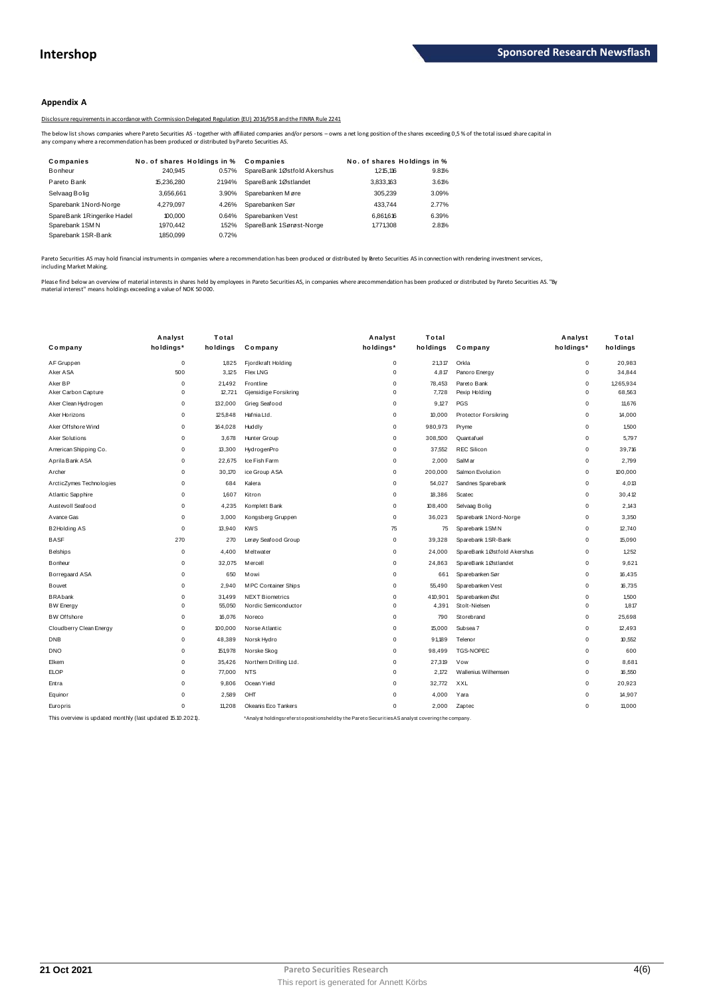## **Appendix A**

Disclosure requirements in accordance with Commission Delegated Regulation (EU) 2016/958 and the FINRA Rule 2241

The below list shows companies where Pareto Securities AS - together with affiliated companies and/or persons – owns a net long position of the shares exceeding 0,5 % of the total issued share capital in<br>any company where

|                                                                                              |                             |       | Disclosure requirements in accordance with Commission Delegated Regulation (EU) 2016/958 and the FINRA Rule 2241                                                 |                             |       |
|----------------------------------------------------------------------------------------------|-----------------------------|-------|------------------------------------------------------------------------------------------------------------------------------------------------------------------|-----------------------------|-------|
| iny company where a recommendation has been produced or distributed by Pareto Securities AS. |                             |       | The below list shows companies where Pareto Securities AS - together with affiliated companies and/or persons – owns a net long position of the shares exceeding |                             |       |
| Companies                                                                                    | No. of shares Holdings in % |       | Companies                                                                                                                                                        | No. of shares Holdings in % |       |
| Bonheur                                                                                      | 240.945                     | 0.57% | SpareBank 1Østfold Akershus                                                                                                                                      | 1.215.116                   | 9.81% |
| Pareto Bank                                                                                  | 15.236.280                  | 2194% | SpareBank 1Østlandet                                                                                                                                             | 3.833.163                   | 3.61% |
| Selvaag Bolig                                                                                | 3.656.661                   | 3.90% | Sparebanken Møre                                                                                                                                                 | 305.239                     | 3.09% |
| Sparebank 1Nord-Norge                                                                        | 4.279.097                   | 4.26% | Sparebanken Sør                                                                                                                                                  | 433.744                     | 2.77% |
| SpareBank 1Ringerike Hadel                                                                   | 100.000                     | 0.64% | Sparebanken Vest                                                                                                                                                 | 6.861.616                   | 6.39% |
| Sparebank 1SMN                                                                               | 1,970,442                   | 1.52% | SpareBank 1Sørøst-Norge                                                                                                                                          | 1.771.308                   | 2.81% |
| Sparebank 1SR-Bank                                                                           | 1.850.099                   | 0.72% |                                                                                                                                                                  |                             |       |

Pareto Securities AS may hold financial instruments in companies where a recommendation has been produced or distributed by Pareto Securities AS in connection with rendering investment services,<br>including Market Making.

Please find below an overview of material interests in shares held by employees in Pareto Securities AS, in companies where a ecommendation has been produced or distributed by Pareto Securities AS. "By<br>material interest" m

|                                                             | Analyst     | Total    |                            | Analyst                                                                                           | Total    |                             | Analyst     | Total     |
|-------------------------------------------------------------|-------------|----------|----------------------------|---------------------------------------------------------------------------------------------------|----------|-----------------------------|-------------|-----------|
| Company                                                     | holdings*   | holdings | Company                    | holdings*                                                                                         | holdings | Company                     | holdings*   | holdings  |
| AF Gruppen                                                  | $\mathsf 0$ | 1,825    | Fjordkraft Holding         | $\mathbf 0$                                                                                       | 21,317   | Orkla                       | $\mathsf 0$ | 20,983    |
| Aker ASA                                                    | 500         | 3.125    | <b>Flex LNG</b>            | 0                                                                                                 | 4,817    | Panoro Energy               | $\mathbf 0$ | 34,844    |
| Aker BP                                                     | $\mathbf 0$ | 21.492   | Frontline                  | 0                                                                                                 | 78.453   | Pareto Bank                 | $\mathbf 0$ | 1.265.934 |
| Aker Carbon Capture                                         | $\mathbf 0$ | 12,721   | Gjensidige Forsikring      | 0                                                                                                 | 7,728    | Pexip Holding               | $\mathbf 0$ | 68,563    |
| Aker Clean Hydrogen                                         | $\mathbf 0$ | 132,000  | Grieg Seafood              | 0                                                                                                 | 9.127    | PGS                         | $\mathbf 0$ | 11,676    |
| Aker Horizons                                               | $\mathbf 0$ | 125,848  | Hafnia Ltd.                | $\mathbf 0$                                                                                       | 10,000   | Protector Forsikring        | $\mathsf 0$ | 14,000    |
| Aker Offshore Wind                                          | $\mathbf 0$ | 164,028  | Huddly                     | 0                                                                                                 | 980,973  | Pryme                       | $\mathbf 0$ | 1,500     |
| <b>Aker Solutions</b>                                       | $\mathbf 0$ | 3,678    | Hunter Group               | $\mathbf 0$                                                                                       | 308,500  | Quantafuel                  | $\mathbf 0$ | 5,797     |
| American Shipping Co.                                       | $\mathbf 0$ | 13,300   | HydrogenPro                | $\Omega$                                                                                          | 37,552   | <b>REC Silicon</b>          | $\mathbf 0$ | 39,716    |
| Aprila Bank ASA                                             | $\mathbf 0$ | 22,675   | Ice Fish Farm              | $\Omega$                                                                                          | 2,000    | SalM ar                     | $\mathbf 0$ | 2.799     |
| Archer                                                      | $\mathbf 0$ | 30,170   | ice Group ASA              | $\mathbf 0$                                                                                       | 200,000  | Salmon Evolution            | $\mathbf 0$ | 100.000   |
| ArcticZymes Technologies                                    | $\mathbf 0$ | 684      | Kalera                     | 0                                                                                                 | 54,027   | Sandnes Sparebank           | $\mathsf 0$ | 4,013     |
| Atlantic Sapphire                                           | $\Omega$    | 1,607    | Kitron                     | 0                                                                                                 | 18,386   | Scatec                      | $\mathbf 0$ | 30.412    |
| Austevoll Seafood                                           | $\mathbf 0$ | 4,235    | Komplett Bank              | 0                                                                                                 | 108,400  | Selvaag Bolig               | $\mathbf 0$ | 2.143     |
| A vance Gas                                                 | $\mathbf 0$ | 3,000    | Kongsberg Gruppen          | 0                                                                                                 | 36,023   | Sparebank 1 Nord-Norge      | $\mathbf 0$ | 3,350     |
| <b>B2Holding AS</b>                                         | $\mathbf 0$ | 13,940   | <b>KWS</b>                 | 75                                                                                                | 75       | Sparebank 1 SM N            | $\mathbf 0$ | 12,740    |
| <b>BASF</b>                                                 | 270         | 270      | Lerøy Seafood Group        | $\mathbf 0$                                                                                       | 39,328   | Sparebank 1 SR-Bank         | $\mathbf 0$ | 15,090    |
| <b>Belships</b>                                             | $\mathbf 0$ | 4,400    | M elt wat er               | $\mathbf 0$                                                                                       | 24,000   | SpareBank 1Østfold Akershus | 0           | 1,252     |
| Bonheur                                                     | $\mathbf 0$ | 32,075   | M ercell                   | $\Omega$                                                                                          | 24,863   | SpareBank 1Østlandet        | $\mathbf 0$ | 9.621     |
| Borregaard ASA                                              | $\mathbf 0$ | 650      | Mowi                       | $\Omega$                                                                                          | 661      | Sparebanken Sør             | $^{\circ}$  | 16,435    |
| <b>Bouvet</b>                                               | $\pmb{0}$   | 2,940    | <b>MPC Container Ships</b> | 0                                                                                                 | 55,490   | Sparebanken Vest            | 0           | 16,735    |
| <b>BRAbank</b>                                              | $\pmb{0}$   | 31,499   | <b>NEXT Biometrics</b>     | $\Omega$                                                                                          | 410,901  | Sparebanken Øst             | $\mathsf 0$ | 1,500     |
| <b>BW Energy</b>                                            | $\pmb{0}$   | 55,050   | Nordic Semiconductor       | 0                                                                                                 | 4,391    | Stolt-Nielsen               | $\mathsf 0$ | 1,817     |
| <b>BW Offshore</b>                                          | $\mathbf 0$ | 16,076   | Noreco                     | $\mathbf 0$                                                                                       | 790      | Storebrand                  | $\mathbf 0$ | 25,698    |
| Cloudberry Clean Energy                                     | $\mathbf 0$ | 100,000  | Norse Atlantic             | 0                                                                                                 | 15,000   | Subsea 7                    | $\mathbf 0$ | 12.493    |
| DNB                                                         | $\mathbf 0$ | 48,389   | Norsk Hydro                | 0                                                                                                 | 91,189   | Telenor                     | $\mathbf 0$ | 10,552    |
| <b>DNO</b>                                                  | $\mathbf 0$ | 151,978  | Norske Skog                | $\mathbf 0$                                                                                       | 98,499   | <b>TGS-NOPEC</b>            | $\mathbf 0$ | 600       |
| Elkem                                                       | $\mathbf 0$ | 35,426   | Northern Drilling Ltd.     | $\mathbf 0$                                                                                       | 27,319   | Vow                         | $\mathbf 0$ | 8.681     |
| <b>ELOP</b>                                                 | $\mathbf 0$ | 77,000   | <b>NTS</b>                 | 0                                                                                                 | 2.172    | Wallenius Wilhemsen         | $\mathbf 0$ | 16,550    |
| Entra                                                       | $\mathbf 0$ | 9,806    | Ocean Yield                | $\mathbf 0$                                                                                       | 32,772   | XXL                         | $\mathbf 0$ | 20,923    |
| Equinor                                                     | $\mathbf 0$ | 2,589    | OHT                        | $\Omega$                                                                                          | 4,000    | Yara                        | $\mathbf 0$ | 14,907    |
| Europris                                                    | $\mathbf 0$ | 11.208   | Okeanis Eco Tankers        | 0                                                                                                 | 2,000    | Zaptec                      | $\mathbf 0$ | 11.000    |
| This overview is updated monthly (last updated 15.10.2021). |             |          |                            | *Analyst holdingsrefersto positionsheld by the Pareto Securities AS analyst covering the company. |          |                             |             |           |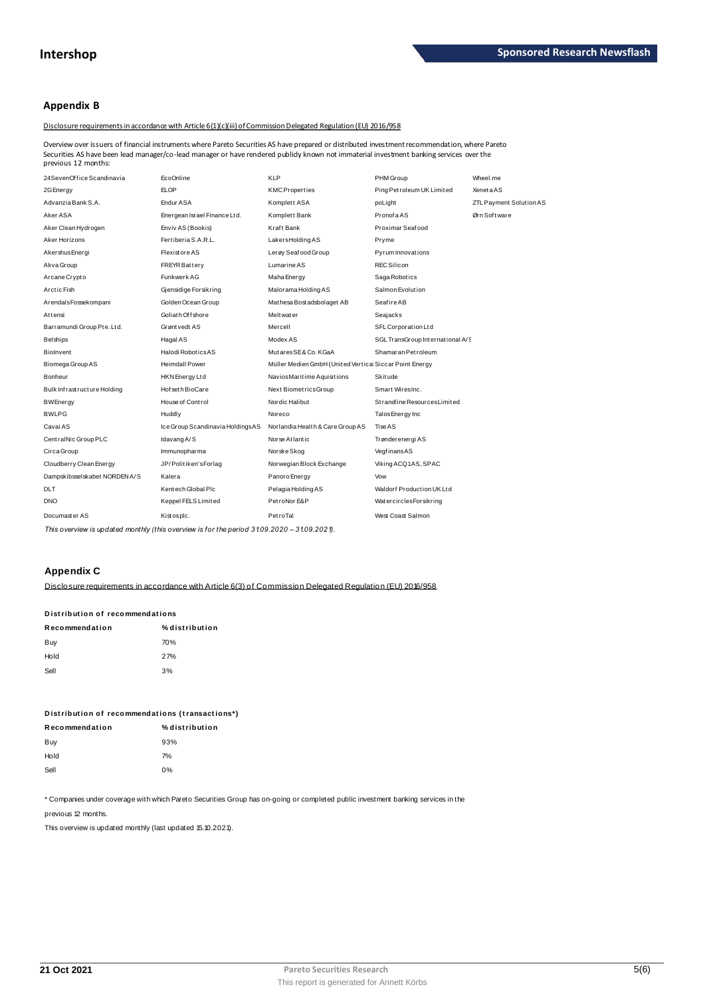## **Appendix B**

## Disclosure requirements in accordance with Article 6(1)(c)(iii) of Commission Delegated Regulation (EU) 2016/958

Overview over issuers of financial instruments where Pareto Securities AS have prepared or distributed investment recommendation, where Pareto Securities AS have been lead manager/co-lead manager or have rendered publidy known not immaterial investment banking services over the<br>previous 12 months:

| 24SevenOffice Scandinavia     | EcoOnline                        | <b>KLP</b>                                             | PHM Group                        | Wheel.me                |
|-------------------------------|----------------------------------|--------------------------------------------------------|----------------------------------|-------------------------|
| 2G Energy                     | <b>ELOP</b>                      | <b>KMCProperties</b>                                   | Ping Petroleum UK Limited        | <b>XenetaAS</b>         |
| Advanzia Bank S.A.            | Endur ASA                        | Komplett ASA                                           | poLight                          | ZTL Payment Solution AS |
| Aker ASA                      | Energean Israel Finance Ltd.     | Komplett Bank                                          | PronofaAS                        | Ørn Software            |
| Aker Clean Hydrogen           | Enviv AS (Bookis)                | Kraft Bank                                             | Proximar Seafood                 |                         |
| Aker Horizons                 | Fertiberia S.A.R.L.              | LakersHoldingAS                                        | Pryme                            |                         |
| Akershus Energi               | <b>Flexistore AS</b>             | Lerøy Seafood Group                                    | Pyrum Innovations                |                         |
| Akva Group                    | <b>FREYR Battery</b>             | Lumarine AS                                            | <b>REC Silicon</b>               |                         |
| Arcane Crypto                 | Funkwerk AG                      | Maha Energy                                            | Saga Robotics                    |                         |
| Arctic Fish                   | Gjensidige Forsikring            | Malorama Holding AS                                    | Salmon Evolution                 |                         |
| ArendalsFossekompani          | Golden Ocean Group               | Mathesa Bost adsbolaget AB                             | Seafire AB                       |                         |
| Attensi                       | Goliath Offshore                 | Meltwater                                              | Seajacks                         |                         |
| Barramundi Group Pte. Ltd.    | Grønt vedt AS                    | Mercell                                                | SFL Corporation Ltd              |                         |
| <b>Belships</b>               | Hagal AS                         | Modex AS                                               | SGL TransGroup International A/S |                         |
| Biolnvent                     | Halodi Robotics AS               | MutaresSE&Co.KGaA                                      | Shamaran Petroleum               |                         |
| Biomega Group AS              | <b>Heimdall Power</b>            | Müller Medien GmbH (United Vertica Siccar Point Energy |                                  |                         |
| Bonheur                       | HKN Energy Ltd                   | NaviosMaritime Aquisitions                             | Skitude                          |                         |
| Bulk Infrastructure Holding   | Hof set h BioCare                | Next BiometricsGroup                                   | Smart WiresInc.                  |                         |
| BWEnergy                      | House of Control                 | Nordic Halibut                                         | Strandline Resources Limited     |                         |
| <b>BWLPG</b>                  | Huddly                           | Noreco                                                 | Talos Energy Inc                 |                         |
| Cavai AS                      | Ice Group Scandinavia HoldingsAS | Norlandia Health & Care Group AS                       | Tise AS                          |                         |
| CentralNic Group PLC          | Idavang A/S                      | Norse Atlantic                                         | Trønderenergi AS                 |                         |
| Circa Group                   | Immunopharma                     | Norske Skog                                            | VegfinansAS                      |                         |
| Cloudberry Clean Energy       | JP/Politiken'sForlag             | Norwegian Block Exchange                               | Viking ACQ1AS, SPAC              |                         |
| Dampskibsselskabet NORDEN A/S | Kalera                           | Panoro Energy                                          | Vow                              |                         |
| <b>DLT</b>                    | Kentech Global Plc               | Pelagia Holding AS                                     | Waldorf Production UK Ltd        |                         |
| <b>DNO</b>                    | Keppel FELS Limited              | PetroNor E&P                                           | WatercirclesForsikring           |                         |
| Documaster AS                 | Kistospic.                       | PetroTal                                               | West Coast Salmon                |                         |
|                               |                                  |                                                        |                                  |                         |

This overview is updated monthly (this overview is for the period 31.09.2020 – 31.09.2021).

## **Appendix C**

Disclosure requirements in accordance with Article 6(3) of Commission Delegated Requlation (EU) 2016/958

## Distribution of recommendations

| Recommendation | % distribution |
|----------------|----------------|
| Buy            | 70%            |
| Hold           | 27%            |
| Sell           | 3%             |

| Distribution of recommendations (transactions*) |                |  |  |  |  |
|-------------------------------------------------|----------------|--|--|--|--|
| Recommendation                                  | % distribution |  |  |  |  |
| Buy                                             | 93%            |  |  |  |  |
| Hold                                            | 7%             |  |  |  |  |
| Sell                                            | 0%             |  |  |  |  |

\* Companies under coverage with which Pareto Securities Group has on-going or completed public investment banking services in the

previous 12 months.

This overview is updated monthly (last updated 15.10.2021).